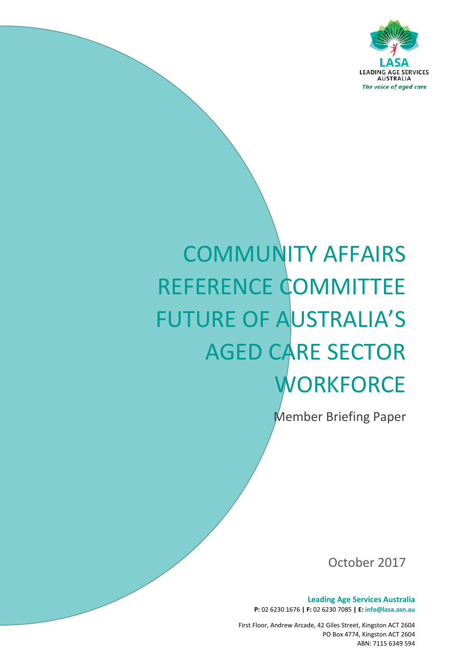

# COMMUNITY AFFAIRS REFERENCE COMMITTEE FUTURE OF AUSTRALIA'S AGED CARE SECTOR **WORKFORCE**

Member Briefing Paper

October 2017

**Leading Age Services Australia P:** 02 6230 1676 **| F:** 02 6230 7085 **| E: info@lasa.asn.au**

First Floor, Andrew Arcade, 42 Giles Street, Kingston ACT 2604 PO Box 4774, Kingston ACT 2604 ABN: 7115 6349 594

*The voice of aged care*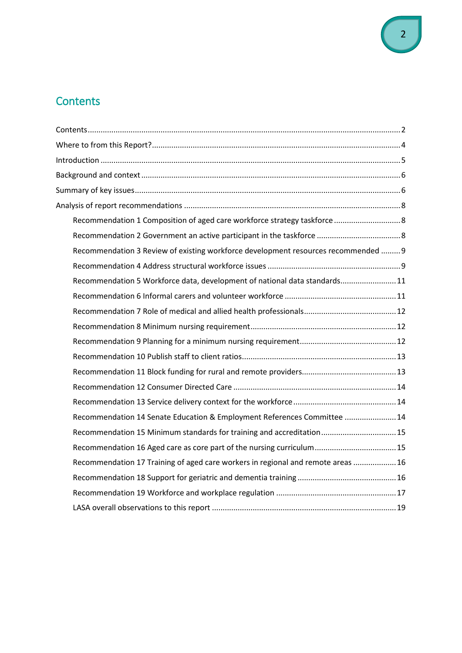# <span id="page-1-0"></span>**Contents**

| Recommendation 3 Review of existing workforce development resources recommended  9 |  |
|------------------------------------------------------------------------------------|--|
|                                                                                    |  |
| Recommendation 5 Workforce data, development of national data standards11          |  |
|                                                                                    |  |
|                                                                                    |  |
|                                                                                    |  |
|                                                                                    |  |
|                                                                                    |  |
|                                                                                    |  |
|                                                                                    |  |
|                                                                                    |  |
| Recommendation 14 Senate Education & Employment References Committee  14           |  |
| Recommendation 15 Minimum standards for training and accreditation15               |  |
| Recommendation 16 Aged care as core part of the nursing curriculum 15              |  |
| Recommendation 17 Training of aged care workers in regional and remote areas  16   |  |
|                                                                                    |  |
|                                                                                    |  |
|                                                                                    |  |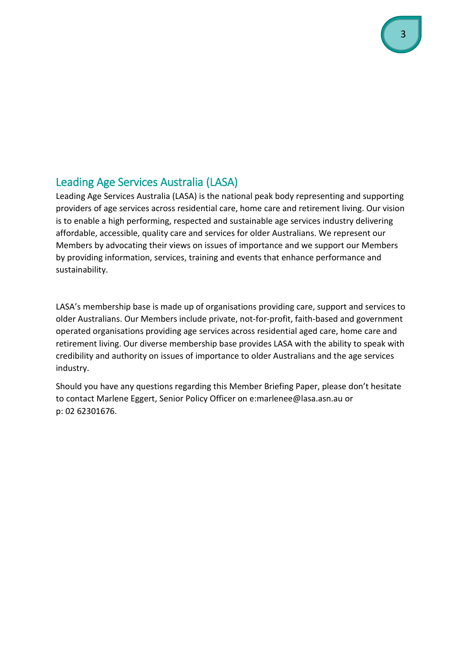# Leading Age Services Australia (LASA)

Leading Age Services Australia (LASA) is the national peak body representing and supporting providers of age services across residential care, home care and retirement living. Our vision is to enable a high performing, respected and sustainable age services industry delivering affordable, accessible, quality care and services for older Australians. We represent our Members by advocating their views on issues of importance and we support our Members by providing information, services, training and events that enhance performance and sustainability.

LASA's membership base is made up of organisations providing care, support and services to older Australians. Our Members include private, not-for-profit, faith-based and government operated organisations providing age services across residential aged care, home care and retirement living. Our diverse membership base provides LASA with the ability to speak with credibility and authority on issues of importance to older Australians and the age services industry.

Should you have any questions regarding this Member Briefing Paper, please don't hesitate to contact Marlene Eggert, Senior Policy Officer on e:marlenee@lasa.asn.au or p: 02 62301676.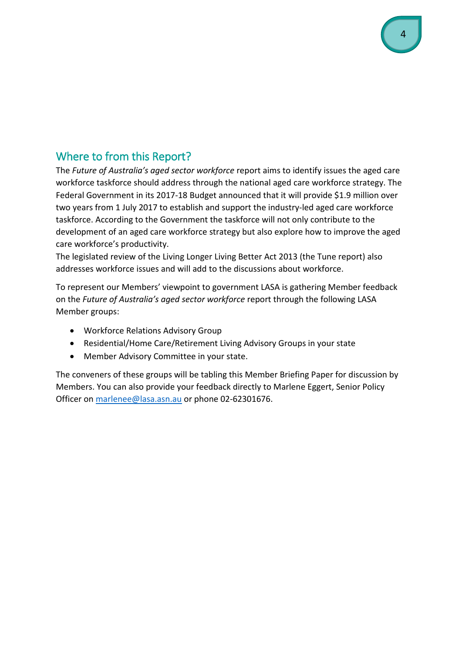# Where to from this Report?

The *Future of Australia's aged sector workforce* report aims to identify issues the aged care workforce taskforce should address through the national aged care workforce strategy. The Federal Government in its 2017-18 Budget announced that it will provide \$1.9 million over two years from 1 July 2017 to establish and support the industry-led aged care workforce taskforce. According to the Government the taskforce will not only contribute to the development of an aged care workforce strategy but also explore how to improve the aged care workforce's productivity.

The legislated review of the Living Longer Living Better Act 2013 (the Tune report) also addresses workforce issues and will add to the discussions about workforce.

To represent our Members' viewpoint to government LASA is gathering Member feedback on the *Future of Australia's aged sector workforce* report through the following LASA Member groups:

- Workforce Relations Advisory Group
- Residential/Home Care/Retirement Living Advisory Groups in your state
- Member Advisory Committee in your state.

The conveners of these groups will be tabling this Member Briefing Paper for discussion by Members. You can also provide your feedback directly to Marlene Eggert, Senior Policy Officer on [marlenee@lasa.asn.au](mailto:marlenee@lasa.asn.au) or phone 02-62301676.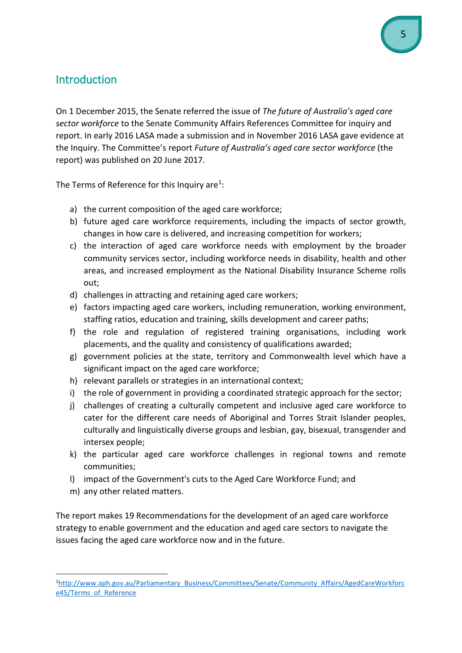# **Introduction**

On 1 December 2015, the Senate referred the issue of *The future of Australia's aged care sector workforce* to the Senate Community Affairs References Committee for inquiry and report. In early 2016 LASA made a submission and in November 2016 LASA gave evidence at the Inquiry. The Committee's report *Future of Australia's aged care sector workforce* (the report) was published on 20 June 2017.

The Terms of Reference for this Inquiry are<sup>1</sup>:

- a) the current composition of the aged care workforce;
- b) future aged care workforce requirements, including the impacts of sector growth, changes in how care is delivered, and increasing competition for workers;
- c) the interaction of aged care workforce needs with employment by the broader community services sector, including workforce needs in disability, health and other areas, and increased employment as the National Disability Insurance Scheme rolls out;
- d) challenges in attracting and retaining aged care workers;
- e) factors impacting aged care workers, including remuneration, working environment, staffing ratios, education and training, skills development and career paths;
- f) the role and regulation of registered training organisations, including work placements, and the quality and consistency of qualifications awarded;
- g) government policies at the state, territory and Commonwealth level which have a significant impact on the aged care workforce;
- h) relevant parallels or strategies in an international context;
- i) the role of government in providing a coordinated strategic approach for the sector;
- j) challenges of creating a culturally competent and inclusive aged care workforce to cater for the different care needs of Aboriginal and Torres Strait Islander peoples, culturally and linguistically diverse groups and lesbian, gay, bisexual, transgender and intersex people;
- k) the particular aged care workforce challenges in regional towns and remote communities;
- l) impact of the Government's cuts to the Aged Care Workforce Fund; and
- <span id="page-4-0"></span>m) any other related matters.

The report makes 19 Recommendations for the development of an aged care workforce strategy to enable government and the education and aged care sectors to navigate the issues facing the aged care workforce now and in the future.

<span id="page-4-1"></span> $\frac{1}{1}$ [http://www.aph.gov.au/Parliamentary\\_Business/Committees/Senate/Community\\_Affairs/AgedCareWorkforc](http://www.aph.gov.au/Parliamentary_Business/Committees/Senate/Community_Affairs/AgedCareWorkforce45/Terms_of_Reference) e45/Terms of Reference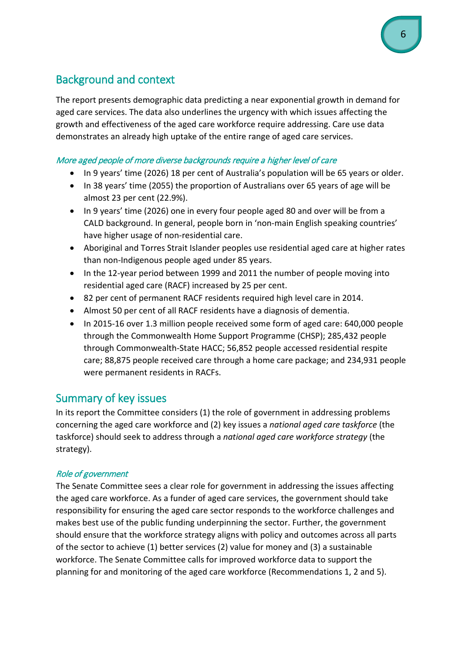# Background and context

The report presents demographic data predicting a near exponential growth in demand for aged care services. The data also underlines the urgency with which issues affecting the growth and effectiveness of the aged care workforce require addressing. Care use data demonstrates an already high uptake of the entire range of aged care services.

## More aged people of more diverse backgrounds require a higher level of care

- In 9 years' time (2026) 18 per cent of Australia's population will be 65 years or older.
- In 38 years' time (2055) the proportion of Australians over 65 years of age will be almost 23 per cent (22.9%).
- In 9 years' time (2026) one in every four people aged 80 and over will be from a CALD background. In general, people born in 'non-main English speaking countries' have higher usage of non-residential care.
- Aboriginal and Torres Strait Islander peoples use residential aged care at higher rates than non-Indigenous people aged under 85 years.
- In the 12-year period between 1999 and 2011 the number of people moving into residential aged care (RACF) increased by 25 per cent.
- 82 per cent of permanent RACF residents required high level care in 2014.
- Almost 50 per cent of all RACF residents have a diagnosis of dementia.
- In 2015-16 over 1.3 million people received some form of aged care: 640,000 people through the Commonwealth Home Support Programme (CHSP); 285,432 people through Commonwealth-State HACC; 56,852 people accessed residential respite care; 88,875 people received care through a home care package; and 234,931 people were permanent residents in RACFs.

# Summary of key issues

In its report the Committee considers (1) the role of government in addressing problems concerning the aged care workforce and (2) key issues a *national aged care taskforce* (the taskforce) should seek to address through a *national aged care workforce strategy* (the strategy).

# Role of government

The Senate Committee sees a clear role for government in addressing the issues affecting the aged care workforce. As a funder of aged care services, the government should take responsibility for ensuring the aged care sector responds to the workforce challenges and makes best use of the public funding underpinning the sector. Further, the government should ensure that the workforce strategy aligns with policy and outcomes across all parts of the sector to achieve (1) better services (2) value for money and (3) a sustainable workforce. The Senate Committee calls for improved workforce data to support the planning for and monitoring of the aged care workforce (Recommendations 1, 2 and 5).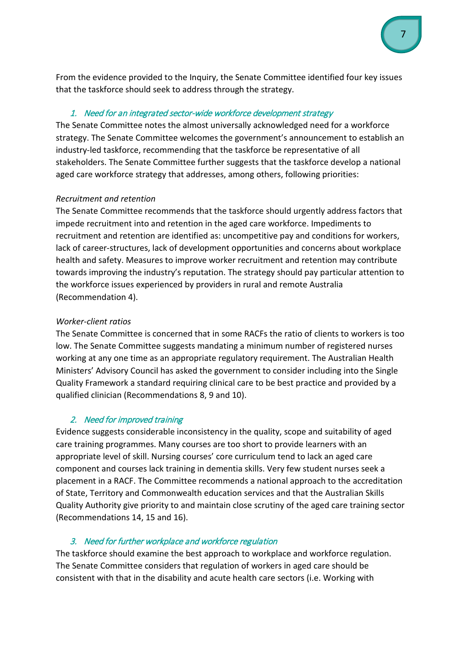From the evidence provided to the Inquiry, the Senate Committee identified four key issues that the taskforce should seek to address through the strategy.

## 1. Need for an integrated sector-wide workforce development strategy

The Senate Committee notes the almost universally acknowledged need for a workforce strategy. The Senate Committee welcomes the government's announcement to establish an industry-led taskforce, recommending that the taskforce be representative of all stakeholders. The Senate Committee further suggests that the taskforce develop a national aged care workforce strategy that addresses, among others, following priorities:

## *Recruitment and retention*

The Senate Committee recommends that the taskforce should urgently address factors that impede recruitment into and retention in the aged care workforce. Impediments to recruitment and retention are identified as: uncompetitive pay and conditions for workers, lack of career-structures, lack of development opportunities and concerns about workplace health and safety. Measures to improve worker recruitment and retention may contribute towards improving the industry's reputation. The strategy should pay particular attention to the workforce issues experienced by providers in rural and remote Australia (Recommendation 4).

## *Worker-client ratios*

The Senate Committee is concerned that in some RACFs the ratio of clients to workers is too low. The Senate Committee suggests mandating a minimum number of registered nurses working at any one time as an appropriate regulatory requirement. The Australian Health Ministers' Advisory Council has asked the government to consider including into the Single Quality Framework a standard requiring clinical care to be best practice and provided by a qualified clinician (Recommendations 8, 9 and 10).

# 2. Need for improved training

Evidence suggests considerable inconsistency in the quality, scope and suitability of aged care training programmes. Many courses are too short to provide learners with an appropriate level of skill. Nursing courses' core curriculum tend to lack an aged care component and courses lack training in dementia skills. Very few student nurses seek a placement in a RACF. The Committee recommends a national approach to the accreditation of State, Territory and Commonwealth education services and that the Australian Skills Quality Authority give priority to and maintain close scrutiny of the aged care training sector (Recommendations 14, 15 and 16).

# 3. Need for further workplace and workforce regulation

The taskforce should examine the best approach to workplace and workforce regulation. The Senate Committee considers that regulation of workers in aged care should be consistent with that in the disability and acute health care sectors (i.e. Working with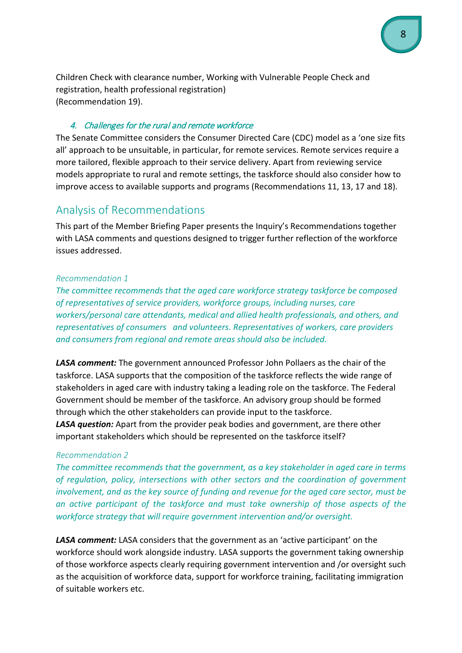Children Check with clearance number, Working with Vulnerable People Check and registration, health professional registration) (Recommendation 19).

#### 4. Challenges for the rural and remote workforce

The Senate Committee considers the Consumer Directed Care (CDC) model as a 'one size fits all' approach to be unsuitable, in particular, for remote services. Remote services require a more tailored, flexible approach to their service delivery. Apart from reviewing service models appropriate to rural and remote settings, the taskforce should also consider how to improve access to available supports and programs (Recommendations 11, 13, 17 and 18).

# <span id="page-7-0"></span>Analysis of Recommendations

<span id="page-7-1"></span>This part of the Member Briefing Paper presents the Inquiry's Recommendations together with LASA comments and questions designed to trigger further reflection of the workforce issues addressed.

#### *Recommendation 1*

*The committee recommends that the aged care workforce strategy taskforce be composed of representatives of service providers, workforce groups, including nurses, care workers/personal care attendants, medical and allied health professionals, and others, and representatives of consumers and volunteers. Representatives of workers, care providers and consumers from regional and remote areas should also be included.*

*LASA comment:* The government announced Professor John Pollaers as the chair of the taskforce. LASA supports that the composition of the taskforce reflects the wide range of stakeholders in aged care with industry taking a leading role on the taskforce. The Federal Government should be member of the taskforce. An advisory group should be formed through which the other stakeholders can provide input to the taskforce.

*LASA question:* Apart from the provider peak bodies and government, are there other important stakeholders which should be represented on the taskforce itself?

#### <span id="page-7-2"></span>*Recommendation 2*

*The committee recommends that the government, as a key stakeholder in aged care in terms of regulation, policy, intersections with other sectors and the coordination of government involvement, and as the key source of funding and revenue for the aged care sector, must be an active participant of the taskforce and must take ownership of those aspects of the workforce strategy that will require government intervention and/or oversight.*

*LASA comment:* LASA considers that the government as an 'active participant' on the workforce should work alongside industry. LASA supports the government taking ownership of those workforce aspects clearly requiring government intervention and /or oversight such as the acquisition of workforce data, support for workforce training, facilitating immigration of suitable workers etc.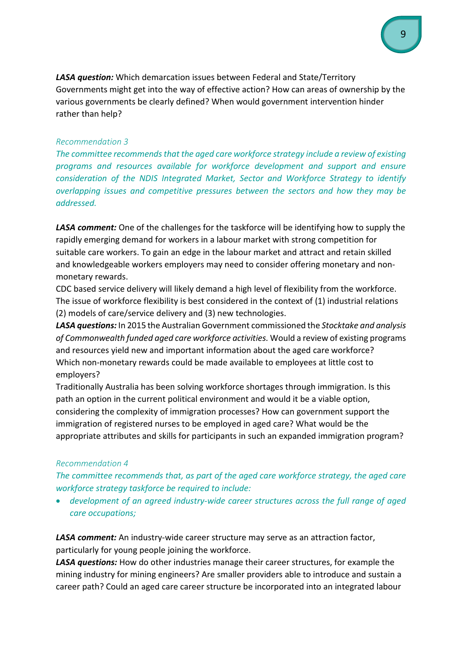*LASA question:* Which demarcation issues between Federal and State/Territory Governments might get into the way of effective action? How can areas of ownership by the various governments be clearly defined? When would government intervention hinder rather than help?

#### <span id="page-8-0"></span>*Recommendation 3*

*The committee recommends that the aged care workforce strategy include a review of existing programs and resources available for workforce development and support and ensure consideration of the NDIS Integrated Market, Sector and Workforce Strategy to identify overlapping issues and competitive pressures between the sectors and how they may be addressed.*

*LASA comment:* One of the challenges for the taskforce will be identifying how to supply the rapidly emerging demand for workers in a labour market with strong competition for suitable care workers. To gain an edge in the labour market and attract and retain skilled and knowledgeable workers employers may need to consider offering monetary and nonmonetary rewards.

CDC based service delivery will likely demand a high level of flexibility from the workforce. The issue of workforce flexibility is best considered in the context of (1) industrial relations (2) models of care/service delivery and (3) new technologies.

*LASA questions:* In 2015 the Australian Government commissioned the *Stocktake and analysis of Commonwealth funded aged care workforce activities.* Would a review of existing programs and resources yield new and important information about the aged care workforce? Which non-monetary rewards could be made available to employees at little cost to employers?

Traditionally Australia has been solving workforce shortages through immigration. Is this path an option in the current political environment and would it be a viable option, considering the complexity of immigration processes? How can government support the immigration of registered nurses to be employed in aged care? What would be the appropriate attributes and skills for participants in such an expanded immigration program?

#### <span id="page-8-1"></span>*Recommendation 4*

*The committee recommends that, as part of the aged care workforce strategy, the aged care workforce strategy taskforce be required to include:*

• *development of an agreed industry-wide career structures across the full range of aged care occupations;*

*LASA comment:* An industry-wide career structure may serve as an attraction factor, particularly for young people joining the workforce.

*LASA questions:* How do other industries manage their career structures, for example the mining industry for mining engineers? Are smaller providers able to introduce and sustain a career path? Could an aged care career structure be incorporated into an integrated labour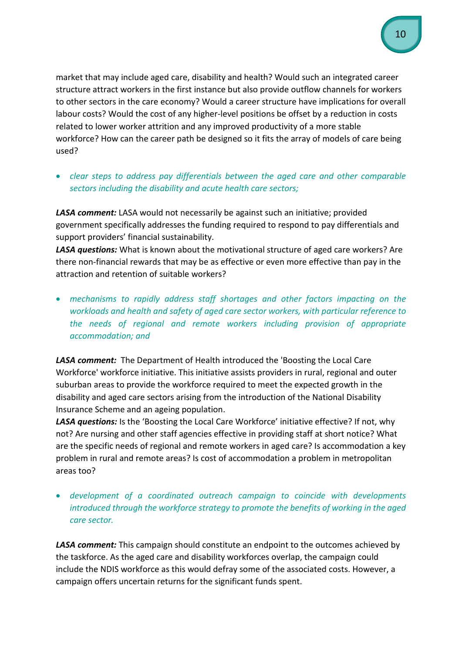market that may include aged care, disability and health? Would such an integrated career structure attract workers in the first instance but also provide outflow channels for workers to other sectors in the care economy? Would a career structure have implications for overall labour costs? Would the cost of any higher-level positions be offset by a reduction in costs related to lower worker attrition and any improved productivity of a more stable workforce? How can the career path be designed so it fits the array of models of care being used?

• *clear steps to address pay differentials between the aged care and other comparable sectors including the disability and acute health care sectors;*

*LASA comment:* LASA would not necessarily be against such an initiative; provided government specifically addresses the funding required to respond to pay differentials and support providers' financial sustainability.

*LASA questions:* What is known about the motivational structure of aged care workers? Are there non-financial rewards that may be as effective or even more effective than pay in the attraction and retention of suitable workers?

• *mechanisms to rapidly address staff shortages and other factors impacting on the workloads and health and safety of aged care sector workers, with particular reference to the needs of regional and remote workers including provision of appropriate accommodation; and*

*LASA comment:* The Department of Health introduced the 'Boosting the Local Care Workforce' workforce initiative. This initiative assists providers in rural, regional and outer suburban areas to provide the workforce required to meet the expected growth in the disability and aged care sectors arising from the introduction of the National Disability Insurance Scheme and an ageing population.

*LASA questions:* Is the 'Boosting the Local Care Workforce' initiative effective? If not, why not? Are nursing and other staff agencies effective in providing staff at short notice? What are the specific needs of regional and remote workers in aged care? Is accommodation a key problem in rural and remote areas? Is cost of accommodation a problem in metropolitan areas too?

• *development of a coordinated outreach campaign to coincide with developments introduced through the workforce strategy to promote the benefits of working in the aged care sector.* 

*LASA comment:* This campaign should constitute an endpoint to the outcomes achieved by the taskforce. As the aged care and disability workforces overlap, the campaign could include the NDIS workforce as this would defray some of the associated costs. However, a campaign offers uncertain returns for the significant funds spent.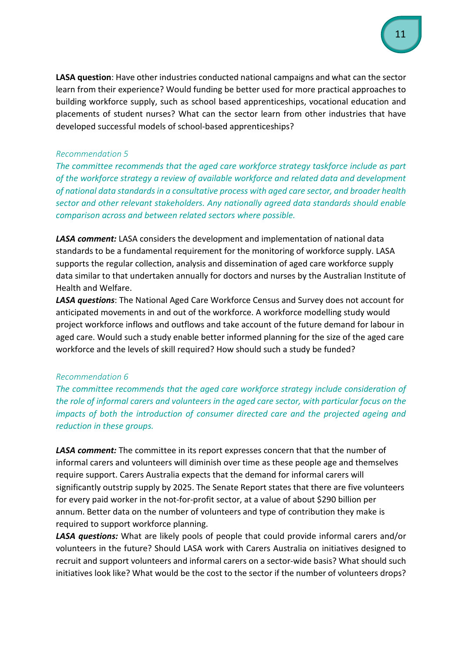**LASA question**: Have other industries conducted national campaigns and what can the sector learn from their experience? Would funding be better used for more practical approaches to building workforce supply, such as school based apprenticeships, vocational education and placements of student nurses? What can the sector learn from other industries that have developed successful models of school-based apprenticeships?

#### <span id="page-10-0"></span>*Recommendation 5*

*The committee recommends that the aged care workforce strategy taskforce include as part of the workforce strategy a review of available workforce and related data and development of national data standards in a consultative process with aged care sector, and broader health sector and other relevant stakeholders. Any nationally agreed data standards should enable comparison across and between related sectors where possible.*

*LASA comment:* LASA considers the development and implementation of national data standards to be a fundamental requirement for the monitoring of workforce supply. LASA supports the regular collection, analysis and dissemination of aged care workforce supply data similar to that undertaken annually for doctors and nurses by the Australian Institute of Health and Welfare.

*LASA questions*: The National Aged Care Workforce Census and Survey does not account for anticipated movements in and out of the workforce. A workforce modelling study would project workforce inflows and outflows and take account of the future demand for labour in aged care. Would such a study enable better informed planning for the size of the aged care workforce and the levels of skill required? How should such a study be funded?

#### <span id="page-10-1"></span>*Recommendation 6*

*The committee recommends that the aged care workforce strategy include consideration of the role of informal carers and volunteers in the aged care sector, with particular focus on the impacts of both the introduction of consumer directed care and the projected ageing and reduction in these groups.*

*LASA comment:* The committee in its report expresses concern that that the number of informal carers and volunteers will diminish over time as these people age and themselves require support. Carers Australia expects that the demand for informal carers will significantly outstrip supply by 2025. The Senate Report states that there are five volunteers for every paid worker in the not-for-profit sector, at a value of about \$290 billion per annum. Better data on the number of volunteers and type of contribution they make is required to support workforce planning.

*LASA questions:* What are likely pools of people that could provide informal carers and/or volunteers in the future? Should LASA work with Carers Australia on initiatives designed to recruit and support volunteers and informal carers on a sector-wide basis? What should such initiatives look like? What would be the cost to the sector if the number of volunteers drops?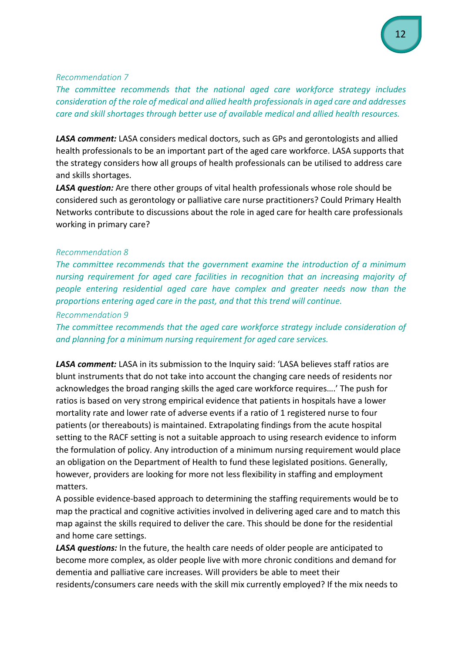#### <span id="page-11-0"></span>*Recommendation 7*

*The committee recommends that the national aged care workforce strategy includes consideration of the role of medical and allied health professionals in aged care and addresses care and skill shortages through better use of available medical and allied health resources.*

*LASA comment:* LASA considers medical doctors, such as GPs and gerontologists and allied health professionals to be an important part of the aged care workforce. LASA supports that the strategy considers how all groups of health professionals can be utilised to address care and skills shortages.

*LASA question:* Are there other groups of vital health professionals whose role should be considered such as gerontology or palliative care nurse practitioners? Could Primary Health Networks contribute to discussions about the role in aged care for health care professionals working in primary care?

#### <span id="page-11-1"></span>*Recommendation 8*

*The committee recommends that the government examine the introduction of a minimum nursing requirement for aged care facilities in recognition that an increasing majority of people entering residential aged care have complex and greater needs now than the proportions entering aged care in the past, and that this trend will continue.*

*Recommendation 9*

*The committee recommends that the aged care workforce strategy include consideration of and planning for a minimum nursing requirement for aged care services.*

*LASA comment:* LASA in its submission to the Inquiry said: 'LASA believes staff ratios are blunt instruments that do not take into account the changing care needs of residents nor acknowledges the broad ranging skills the aged care workforce requires….' The push for ratios is based on very strong empirical evidence that patients in hospitals have a lower mortality rate and lower rate of adverse events if a ratio of 1 registered nurse to four patients (or thereabouts) is maintained. Extrapolating findings from the acute hospital setting to the RACF setting is not a suitable approach to using research evidence to inform the formulation of policy. Any introduction of a minimum nursing requirement would place an obligation on the Department of Health to fund these legislated positions. Generally, however, providers are looking for more not less flexibility in staffing and employment matters.

A possible evidence-based approach to determining the staffing requirements would be to map the practical and cognitive activities involved in delivering aged care and to match this map against the skills required to deliver the care. This should be done for the residential and home care settings.

*LASA questions:* In the future, the health care needs of older people are anticipated to become more complex, as older people live with more chronic conditions and demand for dementia and palliative care increases. Will providers be able to meet their residents/consumers care needs with the skill mix currently employed? If the mix needs to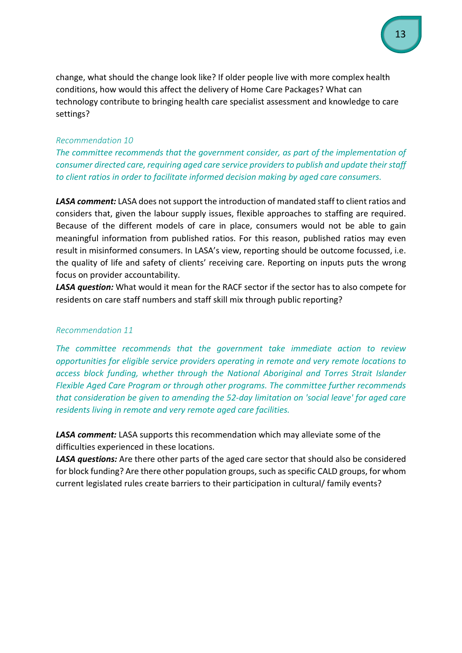change, what should the change look like? If older people live with more complex health conditions, how would this affect the delivery of Home Care Packages? What can technology contribute to bringing health care specialist assessment and knowledge to care settings?

#### <span id="page-12-0"></span>*Recommendation 10*

*The committee recommends that the government consider, as part of the implementation of consumer directed care, requiring aged care service providers to publish and update their staff to client ratios in order to facilitate informed decision making by aged care consumers.*

*LASA comment:* LASA does not support the introduction of mandated staff to client ratios and considers that, given the labour supply issues, flexible approaches to staffing are required. Because of the different models of care in place, consumers would not be able to gain meaningful information from published ratios. For this reason, published ratios may even result in misinformed consumers. In LASA's view, reporting should be outcome focussed, i.e. the quality of life and safety of clients' receiving care. Reporting on inputs puts the wrong focus on provider accountability.

*LASA question:* What would it mean for the RACF sector if the sector has to also compete for residents on care staff numbers and staff skill mix through public reporting?

#### <span id="page-12-1"></span>*Recommendation 11*

*The committee recommends that the government take immediate action to review opportunities for eligible service providers operating in remote and very remote locations to access block funding, whether through the National Aboriginal and Torres Strait Islander Flexible Aged Care Program or through other programs. The committee further recommends that consideration be given to amending the 52-day limitation on 'social leave' for aged care residents living in remote and very remote aged care facilities.*

*LASA comment:* LASA supports this recommendation which may alleviate some of the difficulties experienced in these locations.

LASA questions: Are there other parts of the aged care sector that should also be considered for block funding? Are there other population groups, such as specific CALD groups, for whom current legislated rules create barriers to their participation in cultural/ family events?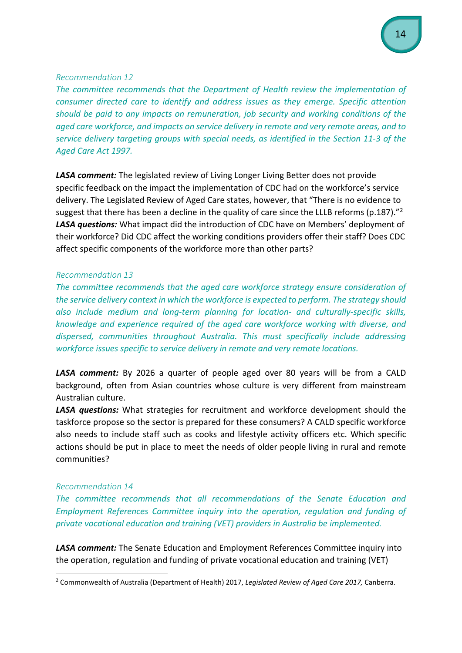#### <span id="page-13-0"></span>*Recommendation 12*

*The committee recommends that the Department of Health review the implementation of consumer directed care to identify and address issues as they emerge. Specific attention should be paid to any impacts on remuneration, job security and working conditions of the aged care workforce, and impacts on service delivery in remote and very remote areas, and to service delivery targeting groups with special needs, as identified in the Section 11-3 of the Aged Care Act 1997.*

*LASA comment:* The legislated review of Living Longer Living Better does not provide specific feedback on the impact the implementation of CDC had on the workforce's service delivery. The Legislated Review of Aged Care states, however, that "There is no evidence to suggest that there has been a decline in the quality of care since the LLLB reforms (p.187)."<sup>[2](#page-13-3)</sup> *LASA questions:* What impact did the introduction of CDC have on Members' deployment of their workforce? Did CDC affect the working conditions providers offer their staff? Does CDC affect specific components of the workforce more than other parts?

#### <span id="page-13-1"></span>*Recommendation 13*

*The committee recommends that the aged care workforce strategy ensure consideration of the service delivery context in which the workforce is expected to perform. The strategy should also include medium and long-term planning for location- and culturally-specific skills, knowledge and experience required of the aged care workforce working with diverse, and dispersed, communities throughout Australia. This must specifically include addressing workforce issues specific to service delivery in remote and very remote locations.*

*LASA comment:* By 2026 a quarter of people aged over 80 years will be from a CALD background, often from Asian countries whose culture is very different from mainstream Australian culture.

*LASA questions:* What strategies for recruitment and workforce development should the taskforce propose so the sector is prepared for these consumers? A CALD specific workforce also needs to include staff such as cooks and lifestyle activity officers etc. Which specific actions should be put in place to meet the needs of older people living in rural and remote communities?

#### <span id="page-13-2"></span>*Recommendation 14*

*The committee recommends that all recommendations of the Senate Education and Employment References Committee inquiry into the operation, regulation and funding of private vocational education and training (VET) providers in Australia be implemented.*

*LASA comment:* The Senate Education and Employment References Committee inquiry into the operation, regulation and funding of private vocational education and training (VET)

<span id="page-13-3"></span> <sup>2</sup> Commonwealth of Australia (Department of Health) 2017, *Legislated Review of Aged Care 2017,* Canberra.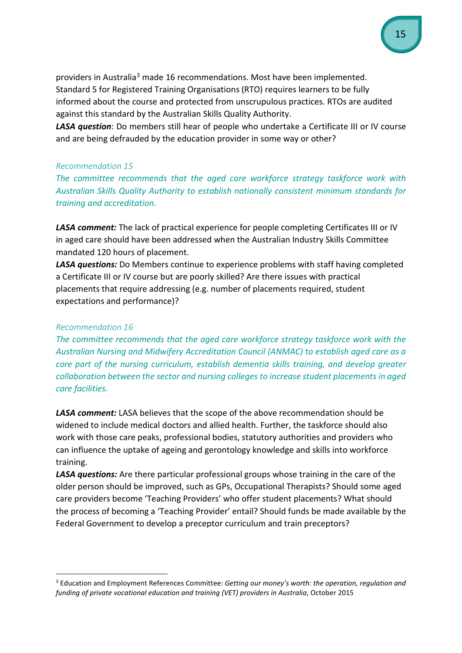providers in Australia[3](#page-14-2) made 16 recommendations. Most have been implemented. Standard 5 for Registered Training Organisations (RTO) requires learners to be fully informed about the course and protected from unscrupulous practices. RTOs are audited against this standard by the Australian Skills Quality Authority.

*LASA question*: Do members still hear of people who undertake a Certificate III or IV course and are being defrauded by the education provider in some way or other?

#### <span id="page-14-0"></span>*Recommendation 15*

*The committee recommends that the aged care workforce strategy taskforce work with Australian Skills Quality Authority to establish nationally consistent minimum standards for training and accreditation.*

*LASA comment:* The lack of practical experience for people completing Certificates III or IV in aged care should have been addressed when the Australian Industry Skills Committee mandated 120 hours of placement.

*LASA questions:* Do Members continue to experience problems with staff having completed a Certificate III or IV course but are poorly skilled? Are there issues with practical placements that require addressing (e.g. number of placements required, student expectations and performance)?

#### <span id="page-14-1"></span>*Recommendation 16*

*The committee recommends that the aged care workforce strategy taskforce work with the Australian Nursing and Midwifery Accreditation Council (ANMAC) to establish aged care as a core part of the nursing curriculum, establish dementia skills training, and develop greater collaboration between the sector and nursing colleges to increase student placements in aged care facilities.*

*LASA comment:* LASA believes that the scope of the above recommendation should be widened to include medical doctors and allied health. Further, the taskforce should also work with those care peaks, professional bodies, statutory authorities and providers who can influence the uptake of ageing and gerontology knowledge and skills into workforce training.

*LASA questions:* Are there particular professional groups whose training in the care of the older person should be improved, such as GPs, Occupational Therapists? Should some aged care providers become 'Teaching Providers' who offer student placements? What should the process of becoming a 'Teaching Provider' entail? Should funds be made available by the Federal Government to develop a preceptor curriculum and train preceptors?

<span id="page-14-2"></span> <sup>3</sup> Education and Employment References Committee: *Getting our money's worth: the operation, regulation and funding of private vocational education and training (VET) providers in Australia*, October 2015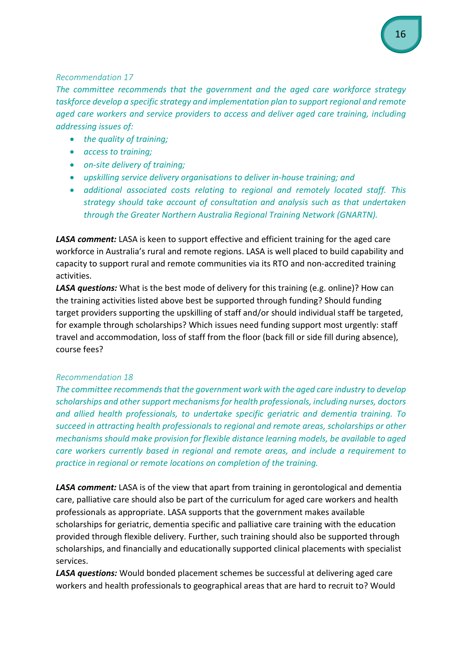#### <span id="page-15-0"></span>*Recommendation 17*

The committee recommends that the government and the gaed care workforce strategy *taskforce develop a specific strategy and implementation plan to support regional and remote aged care workers and service providers to access and deliver aged care training, including addressing issues of:*

- *the quality of training;*
- *access to training;*
- *on-site delivery of training;*
- *upskilling service delivery organisations to deliver in-house training; and*
- *additional associated costs relating to regional and remotely located staff. This strategy should take account of consultation and analysis such as that undertaken through the Greater Northern Australia Regional Training Network (GNARTN).*

*LASA comment:* LASA is keen to support effective and efficient training for the aged care workforce in Australia's rural and remote regions. LASA is well placed to build capability and capacity to support rural and remote communities via its RTO and non-accredited training activities.

*LASA questions:* What is the best mode of delivery for this training (e.g. online)? How can the training activities listed above best be supported through funding? Should funding target providers supporting the upskilling of staff and/or should individual staff be targeted, for example through scholarships? Which issues need funding support most urgently: staff travel and accommodation, loss of staff from the floor (back fill or side fill during absence), course fees?

## <span id="page-15-1"></span>*Recommendation 18*

*The committee recommends that the government work with the aged care industry to develop scholarships and other support mechanisms for health professionals, including nurses, doctors and allied health professionals, to undertake specific geriatric and dementia training. To succeed in attracting health professionals to regional and remote areas, scholarships or other mechanisms should make provision for flexible distance learning models, be available to aged care workers currently based in regional and remote areas, and include a requirement to practice in regional or remote locations on completion of the training.*

*LASA comment:* LASA is of the view that apart from training in gerontological and dementia care, palliative care should also be part of the curriculum for aged care workers and health professionals as appropriate. LASA supports that the government makes available scholarships for geriatric, dementia specific and palliative care training with the education provided through flexible delivery. Further, such training should also be supported through scholarships, and financially and educationally supported clinical placements with specialist services.

*LASA questions:* Would bonded placement schemes be successful at delivering aged care workers and health professionals to geographical areas that are hard to recruit to? Would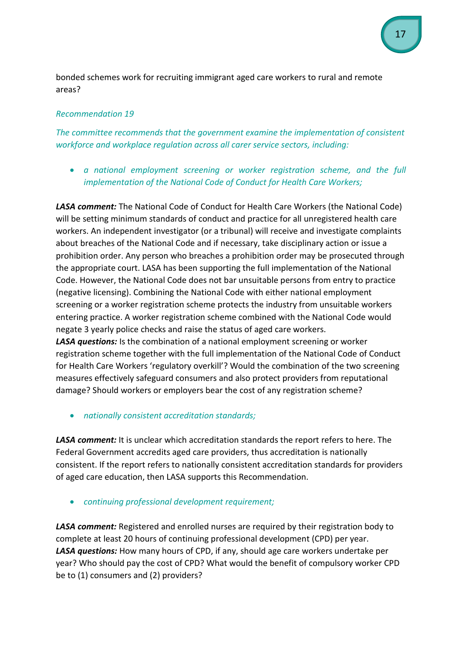bonded schemes work for recruiting immigrant aged care workers to rural and remote areas?

## <span id="page-16-0"></span>*Recommendation 19*

*The committee recommends that the government examine the implementation of consistent workforce and workplace regulation across all carer service sectors, including:*

• *a national employment screening or worker registration scheme, and the full implementation of the National Code of Conduct for Health Care Workers;*

*LASA comment:* The National Code of Conduct for Health Care Workers (the National Code) will be setting minimum standards of conduct and practice for all unregistered health care workers. An independent investigator (or a tribunal) will receive and investigate complaints about breaches of the National Code and if necessary, take disciplinary action or issue a prohibition order. Any person who breaches a prohibition order may be prosecuted through the appropriate court. LASA has been supporting the full implementation of the National Code. However, the National Code does not bar unsuitable persons from entry to practice (negative licensing). Combining the National Code with either national employment screening or a worker registration scheme protects the industry from unsuitable workers entering practice. A worker registration scheme combined with the National Code would negate 3 yearly police checks and raise the status of aged care workers.

*LASA questions:* Is the combination of a national employment screening or worker registration scheme together with the full implementation of the National Code of Conduct for Health Care Workers 'regulatory overkill'? Would the combination of the two screening measures effectively safeguard consumers and also protect providers from reputational damage? Should workers or employers bear the cost of any registration scheme?

• *nationally consistent accreditation standards;*

*LASA comment:* It is unclear which accreditation standards the report refers to here. The Federal Government accredits aged care providers, thus accreditation is nationally consistent. If the report refers to nationally consistent accreditation standards for providers of aged care education, then LASA supports this Recommendation.

• *continuing professional development requirement;*

*LASA comment:* Registered and enrolled nurses are required by their registration body to complete at least 20 hours of continuing professional development (CPD) per year. *LASA questions:* How many hours of CPD, if any, should age care workers undertake per year? Who should pay the cost of CPD? What would the benefit of compulsory worker CPD be to (1) consumers and (2) providers?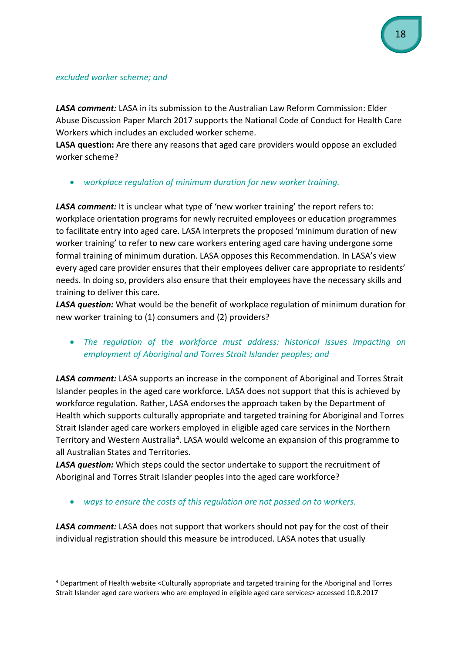#### *excluded worker scheme; and*

*LASA comment:* LASA in its submission to the Australian Law Reform Commission: Elder Abuse Discussion Paper March 2017 supports the National Code of Conduct for Health Care Workers which includes an excluded worker scheme.

**LASA question:** Are there any reasons that aged care providers would oppose an excluded worker scheme?

• *workplace regulation of minimum duration for new worker training.* 

*LASA comment:* It is unclear what type of 'new worker training' the report refers to: workplace orientation programs for newly recruited employees or education programmes to facilitate entry into aged care. LASA interprets the proposed 'minimum duration of new worker training' to refer to new care workers entering aged care having undergone some formal training of minimum duration. LASA opposes this Recommendation. In LASA's view every aged care provider ensures that their employees deliver care appropriate to residents' needs. In doing so, providers also ensure that their employees have the necessary skills and training to deliver this care.

*LASA question:* What would be the benefit of workplace regulation of minimum duration for new worker training to (1) consumers and (2) providers?

• *The regulation of the workforce must address: historical issues impacting on employment of Aboriginal and Torres Strait Islander peoples; and*

*LASA comment:* LASA supports an increase in the component of Aboriginal and Torres Strait Islander peoples in the aged care workforce. LASA does not support that this is achieved by workforce regulation. Rather, LASA endorses the approach taken by the Department of Health which supports culturally appropriate and targeted training for Aboriginal and Torres Strait Islander aged care workers employed in eligible aged care services in the Northern Territory and Western Australia<sup>[4](#page-17-0)</sup>. LASA would welcome an expansion of this programme to all Australian States and Territories.

*LASA question:* Which steps could the sector undertake to support the recruitment of Aboriginal and Torres Strait Islander peoples into the aged care workforce?

• *ways to ensure the costs of this regulation are not passed on to workers.*

*LASA comment:* LASA does not support that workers should not pay for the cost of their individual registration should this measure be introduced. LASA notes that usually

<span id="page-17-0"></span> <sup>4</sup> Department of Health website <Culturally appropriate and targeted training for the Aboriginal and Torres Strait Islander aged care workers who are employed in eligible aged care services> accessed 10.8.2017